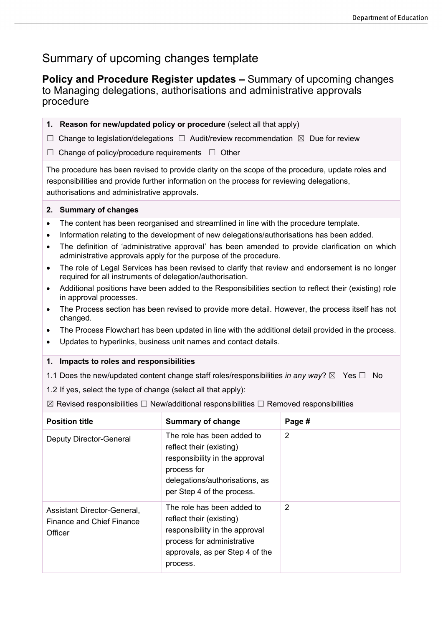$\overline{\phantom{0}}$ 

## Summary of upcoming changes template

**Policy and Procedure Register updates –** Summary of upcoming changes to Managing delegations, authorisations and administrative approvals procedure

| 1. Reason for new/updated policy or procedure (select all that apply)                                                                                                                                                                           |                                                                                                                                                                         |                |  |
|-------------------------------------------------------------------------------------------------------------------------------------------------------------------------------------------------------------------------------------------------|-------------------------------------------------------------------------------------------------------------------------------------------------------------------------|----------------|--|
| Change to legislation/delegations $\Box$ Audit/review recommendation $\boxtimes$ Due for review<br>⋃                                                                                                                                            |                                                                                                                                                                         |                |  |
| Change of policy/procedure requirements □ Other                                                                                                                                                                                                 |                                                                                                                                                                         |                |  |
| The procedure has been revised to provide clarity on the scope of the procedure, update roles and<br>responsibilities and provide further information on the process for reviewing delegations,<br>authorisations and administrative approvals. |                                                                                                                                                                         |                |  |
| 2. Summary of changes                                                                                                                                                                                                                           |                                                                                                                                                                         |                |  |
| The content has been reorganised and streamlined in line with the procedure template.<br>$\bullet$                                                                                                                                              |                                                                                                                                                                         |                |  |
| Information relating to the development of new delegations/authorisations has been added.<br>$\bullet$                                                                                                                                          |                                                                                                                                                                         |                |  |
| The definition of 'administrative approval' has been amended to provide clarification on which<br>$\bullet$<br>administrative approvals apply for the purpose of the procedure.                                                                 |                                                                                                                                                                         |                |  |
| The role of Legal Services has been revised to clarify that review and endorsement is no longer<br>$\bullet$<br>required for all instruments of delegation/authorisation.                                                                       |                                                                                                                                                                         |                |  |
| Additional positions have been added to the Responsibilities section to reflect their (existing) role<br>$\bullet$<br>in approval processes.                                                                                                    |                                                                                                                                                                         |                |  |
| The Process section has been revised to provide more detail. However, the process itself has not<br>$\bullet$<br>changed.                                                                                                                       |                                                                                                                                                                         |                |  |
| The Process Flowchart has been updated in line with the additional detail provided in the process.<br>٠                                                                                                                                         |                                                                                                                                                                         |                |  |
| Updates to hyperlinks, business unit names and contact details.<br>$\bullet$                                                                                                                                                                    |                                                                                                                                                                         |                |  |
| Impacts to roles and responsibilities<br>1.                                                                                                                                                                                                     |                                                                                                                                                                         |                |  |
|                                                                                                                                                                                                                                                 | 1.1 Does the new/updated content change staff roles/responsibilities in any way? $\boxtimes$ Yes $\Box$ No                                                              |                |  |
| 1.2 If yes, select the type of change (select all that apply):                                                                                                                                                                                  |                                                                                                                                                                         |                |  |
| ⊠ Revised responsibilities $□$ New/additional responsibilities $□$ Removed responsibilities                                                                                                                                                     |                                                                                                                                                                         |                |  |
| <b>Position title</b>                                                                                                                                                                                                                           | <b>Summary of change</b>                                                                                                                                                | Page #         |  |
| <b>Deputy Director-General</b>                                                                                                                                                                                                                  | The role has been added to<br>reflect their (existing)<br>responsibility in the approval<br>process for<br>delegations/authorisations, as<br>per Step 4 of the process. | $\overline{2}$ |  |
| Assistant Director-General,<br><b>Finance and Chief Finance</b><br>Officer                                                                                                                                                                      | The role has been added to<br>reflect their (existing)<br>responsibility in the approval<br>process for administrative<br>approvals, as per Step 4 of the               | $\overline{2}$ |  |

process.